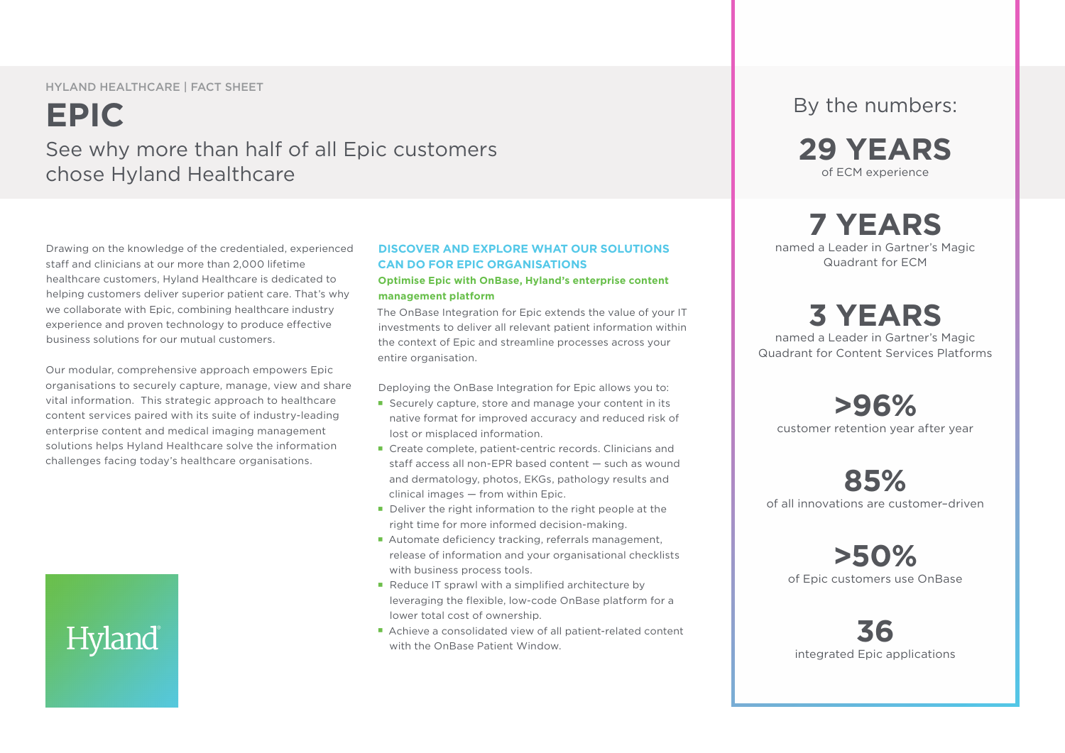HYLAND HEALTHCARE | FACT SHEET

## **EPIC** See why more than half of all Epic customers chose Hyland Healthcare

Drawing on the knowledge of the credentialed, experienced staff and clinicians at our more than 2,000 lifetime healthcare customers, Hyland Healthcare is dedicated to helping customers deliver superior patient care. That's why we collaborate with Epic, combining healthcare industry experience and proven technology to produce effective business solutions for our mutual customers.

Our modular, comprehensive approach empowers Epic organisations to securely capture, manage, view and share vital information. This strategic approach to healthcare content services paired with its suite of industry-leading enterprise content and medical imaging management solutions helps Hyland Healthcare solve the information challenges facing today's healthcare organisations.

# **Hyland**

### **DISCOVER AND EXPLORE WHAT OUR SOLUTIONS CAN DO FOR EPIC ORGANISATIONS**

### **Optimise Epic with OnBase, Hyland's enterprise content management platform**

The OnBase Integration for Epic extends the value of your IT investments to deliver all relevant patient information within the context of Epic and streamline processes across your entire organisation.

Deploying the OnBase Integration for Epic allows you to:

- Securely capture, store and manage your content in its native format for improved accuracy and reduced risk of lost or misplaced information.
- Create complete, patient-centric records. Clinicians and staff access all non-EPR based content — such as wound and dermatology, photos, EKGs, pathology results and clinical images — from within Epic.
- Deliver the right information to the right people at the right time for more informed decision-making.
- Automate deficiency tracking, referrals management, release of information and your organisational checklists with business process tools.
- Reduce IT sprawl with a simplified architecture by leveraging the flexible, low-code OnBase platform for a lower total cost of ownership.
- Achieve a consolidated view of all patient-related content with the OnBase Patient Window.

### By the numbers:

**29 YEARS** of ECM experience

### **7 YEARS** named a Leader in Gartner's Magic

Quadrant for ECM

## **3 YEARS**

named a Leader in Gartner's Magic Quadrant for Content Services Platforms

**>96%**  customer retention year after year

**85%**  of all innovations are customer–driven

**>50%**  of Epic customers use OnBase

**36**  integrated Epic applications